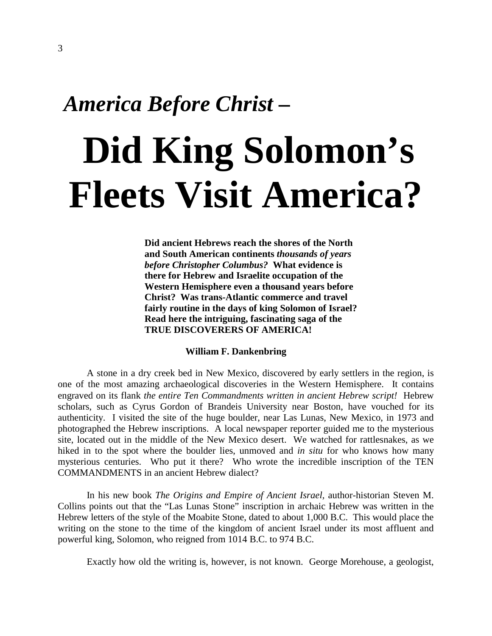### *America Before Christ* **–**

# **Did King Solomon's Fleets Visit America?**

 **Did ancient Hebrews reach the shores of the North and South American continents** *thousands of years before Christopher Columbus?* **What evidence is there for Hebrew and Israelite occupation of the Western Hemisphere even a thousand years before Christ? Was trans-Atlantic commerce and travel fairly routine in the days of king Solomon of Israel? Read here the intriguing, fascinating saga of the TRUE DISCOVERERS OF AMERICA!**

#### **William F. Dankenbring**

 A stone in a dry creek bed in New Mexico, discovered by early settlers in the region, is one of the most amazing archaeological discoveries in the Western Hemisphere. It contains engraved on its flank *the entire Ten Commandments written in ancient Hebrew script!* Hebrew scholars, such as Cyrus Gordon of Brandeis University near Boston, have vouched for its authenticity. I visited the site of the huge boulder, near Las Lunas, New Mexico, in 1973 and photographed the Hebrew inscriptions. A local newspaper reporter guided me to the mysterious site, located out in the middle of the New Mexico desert. We watched for rattlesnakes, as we hiked in to the spot where the boulder lies, unmoved and *in situ* for who knows how many mysterious centuries. Who put it there? Who wrote the incredible inscription of the TEN COMMANDMENTS in an ancient Hebrew dialect?

 In his new book *The Origins and Empire of Ancient Israel,* author-historian Steven M. Collins points out that the "Las Lunas Stone" inscription in archaic Hebrew was written in the Hebrew letters of the style of the Moabite Stone, dated to about 1,000 B.C. This would place the writing on the stone to the time of the kingdom of ancient Israel under its most affluent and powerful king, Solomon, who reigned from 1014 B.C. to 974 B.C.

Exactly how old the writing is, however, is not known. George Morehouse, a geologist,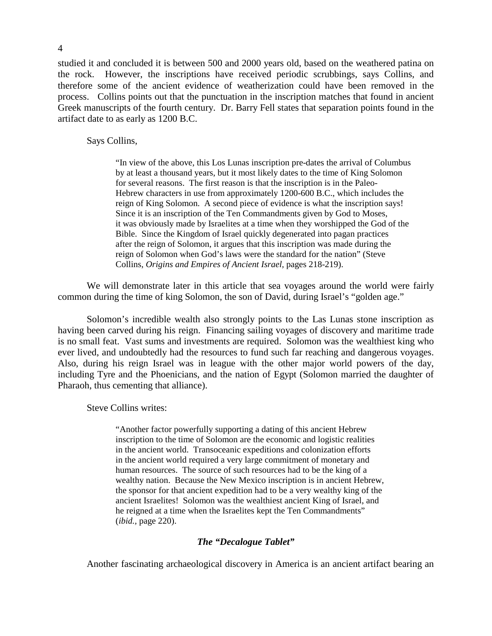studied it and concluded it is between 500 and 2000 years old, based on the weathered patina on the rock. However, the inscriptions have received periodic scrubbings, says Collins, and therefore some of the ancient evidence of weatherization could have been removed in the process. Collins points out that the punctuation in the inscription matches that found in ancient Greek manuscripts of the fourth century. Dr. Barry Fell states that separation points found in the artifact date to as early as 1200 B.C.

#### Says Collins,

 "In view of the above, this Los Lunas inscription pre-dates the arrival of Columbus by at least a thousand years, but it most likely dates to the time of King Solomon for several reasons. The first reason is that the inscription is in the Paleo- Hebrew characters in use from approximately 1200-600 B.C., which includes the reign of King Solomon. A second piece of evidence is what the inscription says! Since it is an inscription of the Ten Commandments given by God to Moses, it was obviously made by Israelites at a time when they worshipped the God of the Bible. Since the Kingdom of Israel quickly degenerated into pagan practices after the reign of Solomon, it argues that this inscription was made during the reign of Solomon when God's laws were the standard for the nation" (Steve Collins, *Origins and Empires of Ancient Israel,* pages 218-219).

 We will demonstrate later in this article that sea voyages around the world were fairly common during the time of king Solomon, the son of David, during Israel's "golden age."

 Solomon's incredible wealth also strongly points to the Las Lunas stone inscription as having been carved during his reign. Financing sailing voyages of discovery and maritime trade is no small feat. Vast sums and investments are required. Solomon was the wealthiest king who ever lived, and undoubtedly had the resources to fund such far reaching and dangerous voyages. Also, during his reign Israel was in league with the other major world powers of the day, including Tyre and the Phoenicians, and the nation of Egypt (Solomon married the daughter of Pharaoh, thus cementing that alliance).

Steve Collins writes:

 "Another factor powerfully supporting a dating of this ancient Hebrew inscription to the time of Solomon are the economic and logistic realities in the ancient world. Transoceanic expeditions and colonization efforts in the ancient world required a very large commitment of monetary and human resources. The source of such resources had to be the king of a wealthy nation. Because the New Mexico inscription is in ancient Hebrew, the sponsor for that ancient expedition had to be a very wealthy king of the ancient Israelites! Solomon was the wealthiest ancient King of Israel, and he reigned at a time when the Israelites kept the Ten Commandments" (*ibid.,* page 220).

#### *The "Decalogue Tablet"*

Another fascinating archaeological discovery in America is an ancient artifact bearing an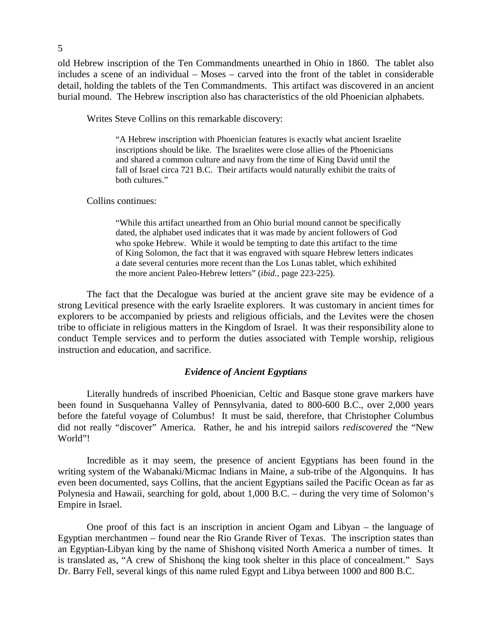old Hebrew inscription of the Ten Commandments unearthed in Ohio in 1860. The tablet also includes a scene of an individual – Moses – carved into the front of the tablet in considerable detail, holding the tablets of the Ten Commandments. This artifact was discovered in an ancient burial mound. The Hebrew inscription also has characteristics of the old Phoenician alphabets.

Writes Steve Collins on this remarkable discovery:

 "A Hebrew inscription with Phoenician features is exactly what ancient Israelite inscriptions should be like. The Israelites were close allies of the Phoenicians and shared a common culture and navy from the time of King David until the fall of Israel circa 721 B.C. Their artifacts would naturally exhibit the traits of both cultures."

Collins continues:

 "While this artifact unearthed from an Ohio burial mound cannot be specifically dated, the alphabet used indicates that it was made by ancient followers of God who spoke Hebrew. While it would be tempting to date this artifact to the time of King Solomon, the fact that it was engraved with square Hebrew letters indicates a date several centuries more recent than the Los Lunas tablet, which exhibited the more ancient Paleo-Hebrew letters" (*ibid.,* page 223-225).

The fact that the Decalogue was buried at the ancient grave site may be evidence of a strong Levitical presence with the early Israelite explorers. It was customary in ancient times for explorers to be accompanied by priests and religious officials, and the Levites were the chosen tribe to officiate in religious matters in the Kingdom of Israel. It was their responsibility alone to conduct Temple services and to perform the duties associated with Temple worship, religious instruction and education, and sacrifice.

#### *Evidence of Ancient Egyptians*

 Literally hundreds of inscribed Phoenician, Celtic and Basque stone grave markers have been found in Susquehanna Valley of Pennsylvania, dated to 800-600 B.C., over 2,000 years before the fateful voyage of Columbus! It must be said, therefore, that Christopher Columbus did not really "discover" America. Rather, he and his intrepid sailors *rediscovered* the "New World"!

 Incredible as it may seem, the presence of ancient Egyptians has been found in the writing system of the Wabanaki/Micmac Indians in Maine, a sub-tribe of the Algonquins. It has even been documented, says Collins, that the ancient Egyptians sailed the Pacific Ocean as far as Polynesia and Hawaii, searching for gold, about 1,000 B.C. – during the very time of Solomon's Empire in Israel.

 One proof of this fact is an inscription in ancient Ogam and Libyan – the language of Egyptian merchantmen – found near the Rio Grande River of Texas. The inscription states than an Egyptian-Libyan king by the name of Shishonq visited North America a number of times. It is translated as, "A crew of Shishonq the king took shelter in this place of concealment." Says Dr. Barry Fell, several kings of this name ruled Egypt and Libya between 1000 and 800 B.C.

5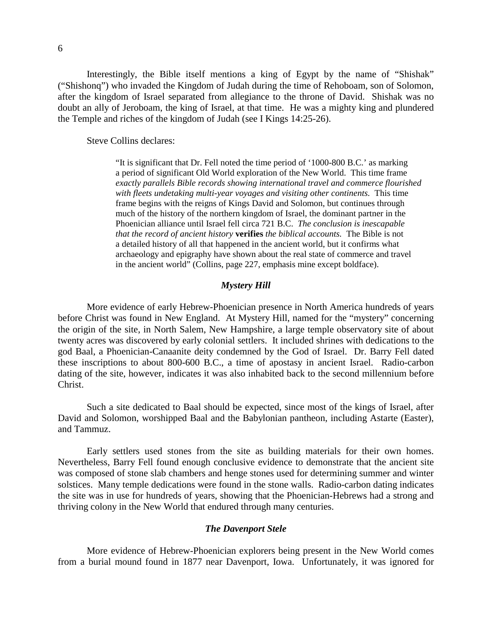6

 Interestingly, the Bible itself mentions a king of Egypt by the name of "Shishak" ("Shishonq") who invaded the Kingdom of Judah during the time of Rehoboam, son of Solomon, after the kingdom of Israel separated from allegiance to the throne of David. Shishak was no doubt an ally of Jeroboam, the king of Israel, at that time. He was a mighty king and plundered the Temple and riches of the kingdom of Judah (see I Kings 14:25-26).

Steve Collins declares:

 "It is significant that Dr. Fell noted the time period of '1000-800 B.C.' as marking a period of significant Old World exploration of the New World. This time frame *exactly parallels Bible records showing international travel and commerce flourished with fleets undetaking multi-year voyages and visiting other continents.* This time frame begins with the reigns of Kings David and Solomon, but continues through much of the history of the northern kingdom of Israel, the dominant partner in the Phoenician alliance until Israel fell circa 721 B.C. *The conclusion is inescapable that the record of ancient history* **verifies** *the biblical accounts.* The Bible is not a detailed history of all that happened in the ancient world, but it confirms what archaeology and epigraphy have shown about the real state of commerce and travel in the ancient world" (Collins, page 227, emphasis mine except boldface).

#### *Mystery Hill*

More evidence of early Hebrew-Phoenician presence in North America hundreds of years before Christ was found in New England. At Mystery Hill, named for the "mystery" concerning the origin of the site, in North Salem, New Hampshire, a large temple observatory site of about twenty acres was discovered by early colonial settlers. It included shrines with dedications to the god Baal, a Phoenician-Canaanite deity condemned by the God of Israel. Dr. Barry Fell dated these inscriptions to about 800-600 B.C., a time of apostasy in ancient Israel. Radio-carbon dating of the site, however, indicates it was also inhabited back to the second millennium before Christ.

 Such a site dedicated to Baal should be expected, since most of the kings of Israel, after David and Solomon, worshipped Baal and the Babylonian pantheon, including Astarte (Easter), and Tammuz.

 Early settlers used stones from the site as building materials for their own homes. Nevertheless, Barry Fell found enough conclusive evidence to demonstrate that the ancient site was composed of stone slab chambers and henge stones used for determining summer and winter solstices. Many temple dedications were found in the stone walls. Radio-carbon dating indicates the site was in use for hundreds of years, showing that the Phoenician-Hebrews had a strong and thriving colony in the New World that endured through many centuries.

#### *The Davenport Stele*

 More evidence of Hebrew-Phoenician explorers being present in the New World comes from a burial mound found in 1877 near Davenport, Iowa. Unfortunately, it was ignored for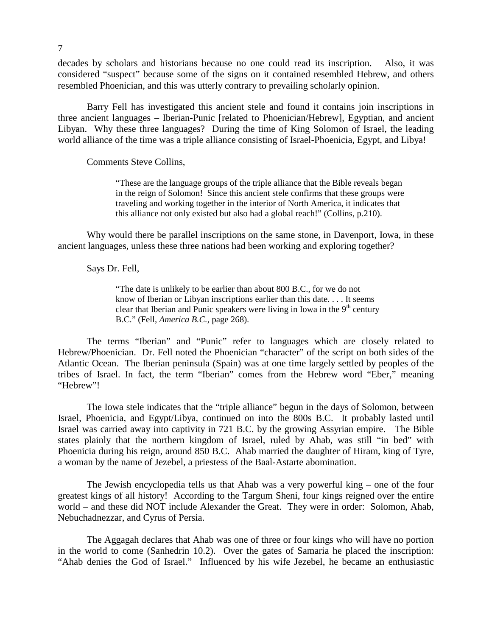decades by scholars and historians because no one could read its inscription. Also, it was considered "suspect" because some of the signs on it contained resembled Hebrew, and others resembled Phoenician, and this was utterly contrary to prevailing scholarly opinion.

Barry Fell has investigated this ancient stele and found it contains join inscriptions in three ancient languages – Iberian-Punic [related to Phoenician/Hebrew], Egyptian, and ancient Libyan. Why these three languages? During the time of King Solomon of Israel, the leading world alliance of the time was a triple alliance consisting of Israel-Phoenicia, Egypt, and Libya!

Comments Steve Collins,

 "These are the language groups of the triple alliance that the Bible reveals began in the reign of Solomon! Since this ancient stele confirms that these groups were traveling and working together in the interior of North America, it indicates that this alliance not only existed but also had a global reach!" (Collins, p.210).

 Why would there be parallel inscriptions on the same stone, in Davenport, Iowa, in these ancient languages, unless these three nations had been working and exploring together?

Says Dr. Fell,

 "The date is unlikely to be earlier than about 800 B.C., for we do not know of Iberian or Libyan inscriptions earlier than this date. . . . It seems clear that Iberian and Punic speakers were living in Iowa in the  $9<sup>th</sup>$  century B.C." (Fell, *America B.C.,* page 268).

 The terms "Iberian" and "Punic" refer to languages which are closely related to Hebrew/Phoenician. Dr. Fell noted the Phoenician "character" of the script on both sides of the Atlantic Ocean. The Iberian peninsula (Spain) was at one time largely settled by peoples of the tribes of Israel. In fact, the term "Iberian" comes from the Hebrew word "Eber," meaning "Hebrew"!

 The Iowa stele indicates that the "triple alliance" begun in the days of Solomon, between Israel, Phoenicia, and Egypt/Libya, continued on into the 800s B.C. It probably lasted until Israel was carried away into captivity in 721 B.C. by the growing Assyrian empire. The Bible states plainly that the northern kingdom of Israel, ruled by Ahab, was still "in bed" with Phoenicia during his reign, around 850 B.C. Ahab married the daughter of Hiram, king of Tyre, a woman by the name of Jezebel, a priestess of the Baal-Astarte abomination.

 The Jewish encyclopedia tells us that Ahab was a very powerful king – one of the four greatest kings of all history! According to the Targum Sheni, four kings reigned over the entire world – and these did NOT include Alexander the Great. They were in order: Solomon, Ahab, Nebuchadnezzar, and Cyrus of Persia.

 The Aggagah declares that Ahab was one of three or four kings who will have no portion in the world to come (Sanhedrin 10.2). Over the gates of Samaria he placed the inscription: "Ahab denies the God of Israel." Influenced by his wife Jezebel, he became an enthusiastic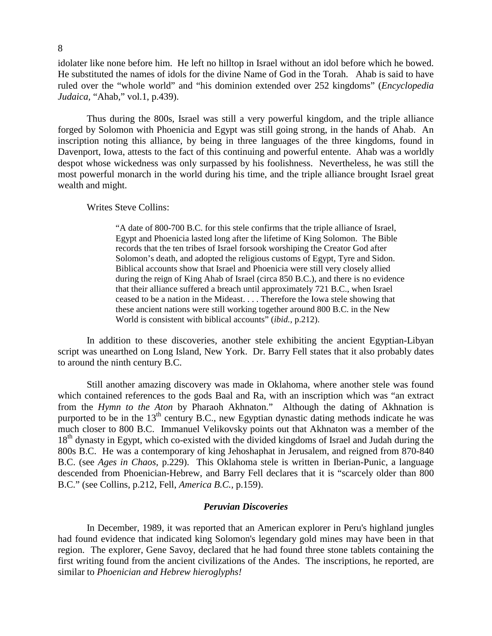idolater like none before him. He left no hilltop in Israel without an idol before which he bowed. He substituted the names of idols for the divine Name of God in the Torah. Ahab is said to have ruled over the "whole world" and "his dominion extended over 252 kingdoms" (*Encyclopedia Judaica,* "Ahab," vol.1, p.439).

 Thus during the 800s, Israel was still a very powerful kingdom, and the triple alliance forged by Solomon with Phoenicia and Egypt was still going strong, in the hands of Ahab. An inscription noting this alliance, by being in three languages of the three kingdoms, found in Davenport, Iowa, attests to the fact of this continuing and powerful entente. Ahab was a worldly despot whose wickedness was only surpassed by his foolishness. Nevertheless, he was still the most powerful monarch in the world during his time, and the triple alliance brought Israel great wealth and might.

#### Writes Steve Collins:

 "A date of 800-700 B.C. for this stele confirms that the triple alliance of Israel, Egypt and Phoenicia lasted long after the lifetime of King Solomon. The Bible records that the ten tribes of Israel forsook worshiping the Creator God after Solomon's death, and adopted the religious customs of Egypt, Tyre and Sidon. Biblical accounts show that Israel and Phoenicia were still very closely allied during the reign of King Ahab of Israel (circa 850 B.C.), and there is no evidence that their alliance suffered a breach until approximately 721 B.C., when Israel ceased to be a nation in the Mideast. . . . Therefore the Iowa stele showing that these ancient nations were still working together around 800 B.C. in the New World is consistent with biblical accounts" (*ibid.,* p.212).

In addition to these discoveries, another stele exhibiting the ancient Egyptian-Libyan script was unearthed on Long Island, New York. Dr. Barry Fell states that it also probably dates to around the ninth century B.C.

 Still another amazing discovery was made in Oklahoma, where another stele was found which contained references to the gods Baal and Ra, with an inscription which was "an extract from the *Hymn to the Aton* by Pharaoh Akhnaton." Although the dating of Akhnation is purported to be in the  $13<sup>th</sup>$  century B.C., new Egyptian dynastic dating methods indicate he was much closer to 800 B.C. Immanuel Velikovsky points out that Akhnaton was a member of the 18<sup>th</sup> dynasty in Egypt, which co-existed with the divided kingdoms of Israel and Judah during the 800s B.C. He was a contemporary of king Jehoshaphat in Jerusalem, and reigned from 870-840 B.C. (see *Ages in Chaos,* p.229). This Oklahoma stele is written in Iberian-Punic, a language descended from Phoenician-Hebrew, and Barry Fell declares that it is "scarcely older than 800 B.C." (see Collins, p.212, Fell, *America B.C.,* p.159).

#### *Peruvian Discoveries*

 In December, 1989, it was reported that an American explorer in Peru's highland jungles had found evidence that indicated king Solomon's legendary gold mines may have been in that region. The explorer, Gene Savoy, declared that he had found three stone tablets containing the first writing found from the ancient civilizations of the Andes. The inscriptions, he reported, are similar to *Phoenician and Hebrew hieroglyphs!*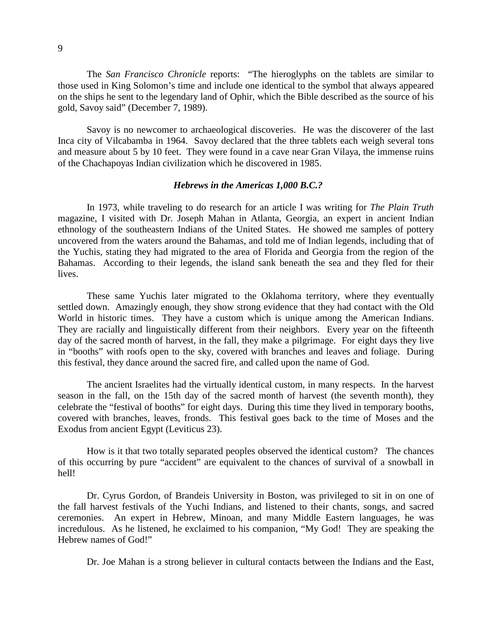The *San Francisco Chronicle* reports:"The hieroglyphs on the tablets are similar to those used in King Solomon's time and include one identical to the symbol that always appeared on the ships he sent to the legendary land of Ophir, which the Bible described as the source of his gold, Savoy said" (December 7, 1989).

 Savoy is no newcomer to archaeological discoveries. He was the discoverer of the last Inca city of Vilcabamba in 1964. Savoy declared that the three tablets each weigh several tons and measure about 5 by 10 feet. They were found in a cave near Gran Vilaya, the immense ruins of the Chachapoyas Indian civilization which he discovered in 1985.

#### *Hebrews in the Americas 1,000 B.C.?*

In 1973, while traveling to do research for an article I was writing for *The Plain Truth*  magazine, I visited with Dr. Joseph Mahan in Atlanta, Georgia, an expert in ancient Indian ethnology of the southeastern Indians of the United States. He showed me samples of pottery uncovered from the waters around the Bahamas, and told me of Indian legends, including that of the Yuchis, stating they had migrated to the area of Florida and Georgia from the region of the Bahamas. According to their legends, the island sank beneath the sea and they fled for their lives.

 These same Yuchis later migrated to the Oklahoma territory, where they eventually settled down. Amazingly enough, they show strong evidence that they had contact with the Old World in historic times. They have a custom which is unique among the American Indians. They are racially and linguistically different from their neighbors. Every year on the fifteenth day of the sacred month of harvest, in the fall, they make a pilgrimage. For eight days they live in "booths" with roofs open to the sky, covered with branches and leaves and foliage. During this festival, they dance around the sacred fire, and called upon the name of God.

 The ancient Israelites had the virtually identical custom, in many respects. In the harvest season in the fall, on the 15th day of the sacred month of harvest (the seventh month), they celebrate the "festival of booths" for eight days. During this time they lived in temporary booths, covered with branches, leaves, fronds. This festival goes back to the time of Moses and the Exodus from ancient Egypt (Leviticus 23).

 How is it that two totally separated peoples observed the identical custom? The chances of this occurring by pure "accident" are equivalent to the chances of survival of a snowball in hell!

 Dr. Cyrus Gordon, of Brandeis University in Boston, was privileged to sit in on one of the fall harvest festivals of the Yuchi Indians, and listened to their chants, songs, and sacred ceremonies. An expert in Hebrew, Minoan, and many Middle Eastern languages, he was incredulous. As he listened, he exclaimed to his companion, "My God! They are speaking the Hebrew names of God!"

Dr. Joe Mahan is a strong believer in cultural contacts between the Indians and the East,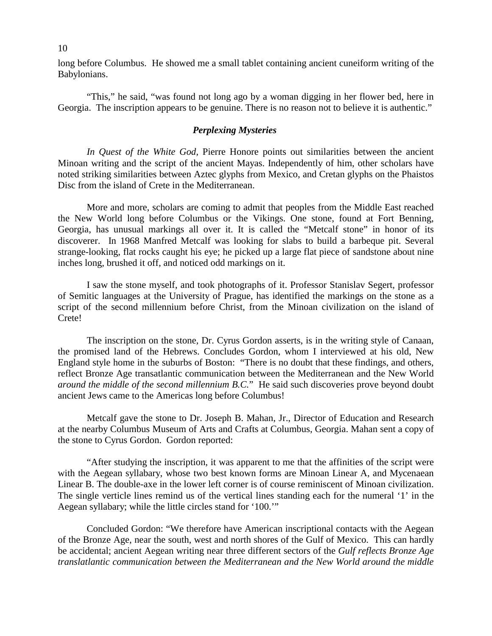long before Columbus. He showed me a small tablet containing ancient cuneiform writing of the Babylonians.

 "This," he said, "was found not long ago by a woman digging in her flower bed, here in Georgia. The inscription appears to be genuine. There is no reason not to believe it is authentic."

#### *Perplexing Mysteries*

*In Quest of the White God,* Pierre Honore points out similarities between the ancient Minoan writing and the script of the ancient Mayas. Independently of him, other scholars have noted striking similarities between Aztec glyphs from Mexico, and Cretan glyphs on the Phaistos Disc from the island of Crete in the Mediterranean.

 More and more, scholars are coming to admit that peoples from the Middle East reached the New World long before Columbus or the Vikings. One stone, found at Fort Benning, Georgia, has unusual markings all over it. It is called the "Metcalf stone" in honor of its discoverer. In 1968 Manfred Metcalf was looking for slabs to build a barbeque pit. Several strange-looking, flat rocks caught his eye; he picked up a large flat piece of sandstone about nine inches long, brushed it off, and noticed odd markings on it.

 I saw the stone myself, and took photographs of it. Professor Stanislav Segert, professor of Semitic languages at the University of Prague, has identified the markings on the stone as a script of the second millennium before Christ, from the Minoan civilization on the island of Crete!

 The inscription on the stone, Dr. Cyrus Gordon asserts, is in the writing style of Canaan, the promised land of the Hebrews. Concludes Gordon, whom I interviewed at his old, New England style home in the suburbs of Boston: "There is no doubt that these findings, and others, reflect Bronze Age transatlantic communication between the Mediterranean and the New World *around the middle of the second millennium B.C.*" He said such discoveries prove beyond doubt ancient Jews came to the Americas long before Columbus!

 Metcalf gave the stone to Dr. Joseph B. Mahan, Jr., Director of Education and Research at the nearby Columbus Museum of Arts and Crafts at Columbus, Georgia. Mahan sent a copy of the stone to Cyrus Gordon. Gordon reported:

 "After studying the inscription, it was apparent to me that the affinities of the script were with the Aegean syllabary, whose two best known forms are Minoan Linear A, and Mycenaean Linear B. The double-axe in the lower left corner is of course reminiscent of Minoan civilization. The single verticle lines remind us of the vertical lines standing each for the numeral '1' in the Aegean syllabary; while the little circles stand for '100.'"

 Concluded Gordon: "We therefore have American inscriptional contacts with the Aegean of the Bronze Age, near the south, west and north shores of the Gulf of Mexico. This can hardly be accidental; ancient Aegean writing near three different sectors of the *Gulf reflects Bronze Age translatlantic communication between the Mediterranean and the New World around the middle*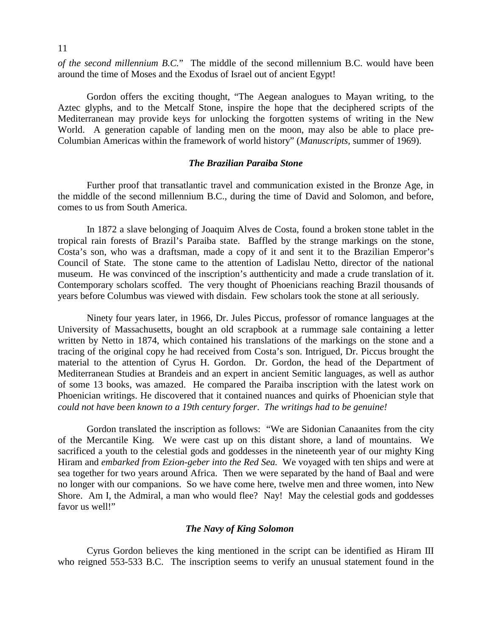*of the second millennium B.C.*" The middle of the second millennium B.C. would have been around the time of Moses and the Exodus of Israel out of ancient Egypt!

 Gordon offers the exciting thought, "The Aegean analogues to Mayan writing, to the Aztec glyphs, and to the Metcalf Stone, inspire the hope that the deciphered scripts of the Mediterranean may provide keys for unlocking the forgotten systems of writing in the New World. A generation capable of landing men on the moon, may also be able to place pre-Columbian Americas within the framework of world history" (*Manuscripts,* summer of 1969).

#### *The Brazilian Paraiba Stone*

 Further proof that transatlantic travel and communication existed in the Bronze Age, in the middle of the second millennium B.C., during the time of David and Solomon, and before, comes to us from South America.

 In 1872 a slave belonging of Joaquim Alves de Costa, found a broken stone tablet in the tropical rain forests of Brazil's Paraiba state. Baffled by the strange markings on the stone, Costa's son, who was a draftsman, made a copy of it and sent it to the Brazilian Emperor's Council of State. The stone came to the attention of Ladislau Netto, director of the national museum. He was convinced of the inscription's autthenticity and made a crude translation of it. Contemporary scholars scoffed. The very thought of Phoenicians reaching Brazil thousands of years before Columbus was viewed with disdain. Few scholars took the stone at all seriously.

 Ninety four years later, in 1966, Dr. Jules Piccus, professor of romance languages at the University of Massachusetts, bought an old scrapbook at a rummage sale containing a letter written by Netto in 1874, which contained his translations of the markings on the stone and a tracing of the original copy he had received from Costa's son. Intrigued, Dr. Piccus brought the material to the attention of Cyrus H. Gordon. Dr. Gordon, the head of the Department of Mediterranean Studies at Brandeis and an expert in ancient Semitic languages, as well as author of some 13 books, was amazed. He compared the Paraiba inscription with the latest work on Phoenician writings. He discovered that it contained nuances and quirks of Phoenician style that *could not have been known to a 19th century forger*. *The writings had to be genuine!*

 Gordon translated the inscription as follows: "We are Sidonian Canaanites from the city of the Mercantile King. We were cast up on this distant shore, a land of mountains. We sacrificed a youth to the celestial gods and goddesses in the nineteenth year of our mighty King Hiram and *embarked from Ezion-geber into the Red Sea.* We voyaged with ten ships and were at sea together for two years around Africa. Then we were separated by the hand of Baal and were no longer with our companions. So we have come here, twelve men and three women, into New Shore. Am I, the Admiral, a man who would flee? Nay! May the celestial gods and goddesses favor us well!"

#### *The Navy of King Solomon*

 Cyrus Gordon believes the king mentioned in the script can be identified as Hiram III who reigned 553-533 B.C. The inscription seems to verify an unusual statement found in the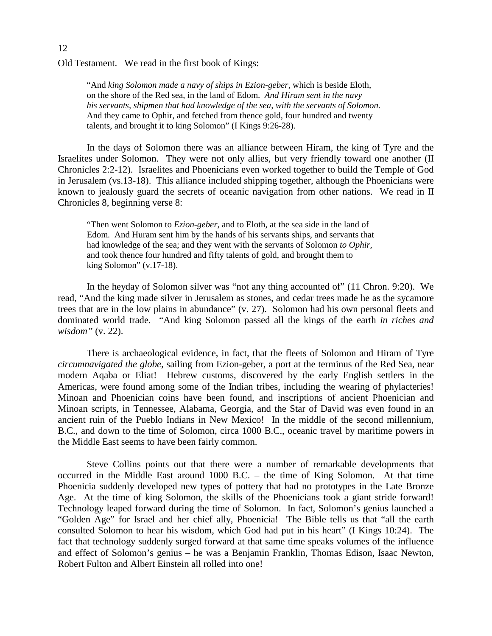Old Testament. We read in the first book of Kings:

"And *king Solomon made a navy of ships in Ezion-geber,* which is beside Eloth, on the shore of the Red sea, in the land of Edom. *And Hiram sent in the navy his servants, shipmen that had knowledge of the sea, with the servants of Solomon.*  And they came to Ophir, and fetched from thence gold, four hundred and twenty talents, and brought it to king Solomon" (I Kings 9:26-28).

 In the days of Solomon there was an alliance between Hiram, the king of Tyre and the Israelites under Solomon. They were not only allies, but very friendly toward one another (II Chronicles 2:2-12). Israelites and Phoenicians even worked together to build the Temple of God in Jerusalem (vs.13-18). This alliance included shipping together, although the Phoenicians were known to jealously guard the secrets of oceanic navigation from other nations. We read in II Chronicles 8, beginning verse 8:

"Then went Solomon to *Ezion-geber,* and to Eloth, at the sea side in the land of Edom. And Huram sent him by the hands of his servants ships, and servants that had knowledge of the sea; and they went with the servants of Solomon *to Ophir,*  and took thence four hundred and fifty talents of gold, and brought them to king Solomon" (v.17-18).

 In the heyday of Solomon silver was "not any thing accounted of" (11 Chron. 9:20). We read, "And the king made silver in Jerusalem as stones, and cedar trees made he as the sycamore trees that are in the low plains in abundance" (v. 27). Solomon had his own personal fleets and dominated world trade. "And king Solomon passed all the kings of the earth *in riches and wisdom"* (v. 22).

 There is archaeological evidence, in fact, that the fleets of Solomon and Hiram of Tyre *circumnavigated the globe,* sailing from Ezion-geber, a port at the terminus of the Red Sea, near modern Aqaba or Eliat! Hebrew customs, discovered by the early English settlers in the Americas, were found among some of the Indian tribes, including the wearing of phylacteries! Minoan and Phoenician coins have been found, and inscriptions of ancient Phoenician and Minoan scripts, in Tennessee, Alabama, Georgia, and the Star of David was even found in an ancient ruin of the Pueblo Indians in New Mexico! In the middle of the second millennium, B.C., and down to the time of Solomon, circa 1000 B.C., oceanic travel by maritime powers in the Middle East seems to have been fairly common.

 Steve Collins points out that there were a number of remarkable developments that occurred in the Middle East around 1000 B.C. – the time of King Solomon. At that time Phoenicia suddenly developed new types of pottery that had no prototypes in the Late Bronze Age. At the time of king Solomon, the skills of the Phoenicians took a giant stride forward! Technology leaped forward during the time of Solomon. In fact, Solomon's genius launched a "Golden Age" for Israel and her chief ally, Phoenicia! The Bible tells us that "all the earth consulted Solomon to hear his wisdom, which God had put in his heart" (I Kings 10:24). The fact that technology suddenly surged forward at that same time speaks volumes of the influence and effect of Solomon's genius – he was a Benjamin Franklin, Thomas Edison, Isaac Newton, Robert Fulton and Albert Einstein all rolled into one!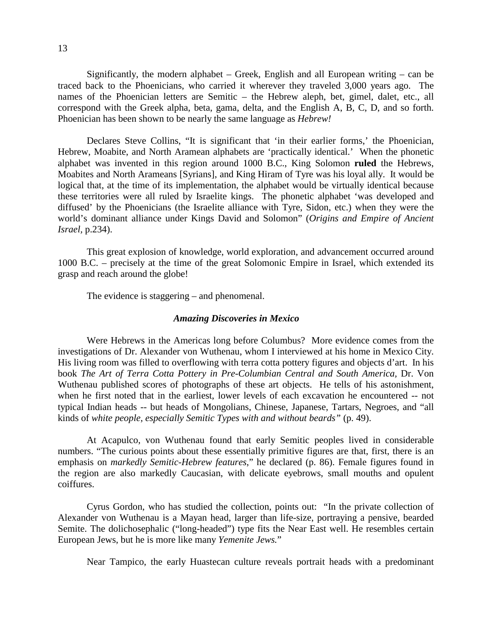Significantly, the modern alphabet  $-$  Greek, English and all European writing  $-$  can be traced back to the Phoenicians, who carried it wherever they traveled 3,000 years ago. The names of the Phoenician letters are Semitic – the Hebrew aleph, bet, gimel, dalet, etc., all correspond with the Greek alpha, beta, gama, delta, and the English A, B, C, D, and so forth. Phoenician has been shown to be nearly the same language as *Hebrew!* 

 Declares Steve Collins, "It is significant that 'in their earlier forms,' the Phoenician, Hebrew, Moabite, and North Aramean alphabets are 'practically identical.' When the phonetic alphabet was invented in this region around 1000 B.C., King Solomon **ruled** the Hebrews, Moabites and North Arameans [Syrians], and King Hiram of Tyre was his loyal ally. It would be logical that, at the time of its implementation, the alphabet would be virtually identical because these territories were all ruled by Israelite kings. The phonetic alphabet 'was developed and diffused' by the Phoenicians (the Israelite alliance with Tyre, Sidon, etc.) when they were the world's dominant alliance under Kings David and Solomon" (*Origins and Empire of Ancient Israel,* p.234).

 This great explosion of knowledge, world exploration, and advancement occurred around 1000 B.C. – precisely at the time of the great Solomonic Empire in Israel, which extended its grasp and reach around the globe!

The evidence is staggering – and phenomenal.

#### *Amazing Discoveries in Mexico*

 Were Hebrews in the Americas long before Columbus? More evidence comes from the investigations of Dr. Alexander von Wuthenau, whom I interviewed at his home in Mexico City. His living room was filled to overflowing with terra cotta pottery figures and objects d'art. In his book *The Art of Terra Cotta Pottery in Pre-Columbian Central and South America,* Dr. Von Wuthenau published scores of photographs of these art objects. He tells of his astonishment, when he first noted that in the earliest, lower levels of each excavation he encountered -- not typical Indian heads -- but heads of Mongolians, Chinese, Japanese, Tartars, Negroes, and "all kinds of *white people, especially Semitic Types with and without beards"* (p. 49).

 At Acapulco, von Wuthenau found that early Semitic peoples lived in considerable numbers. "The curious points about these essentially primitive figures are that, first, there is an emphasis on *markedly Semitic-Hebrew features*," he declared (p. 86). Female figures found in the region are also markedly Caucasian, with delicate eyebrows, small mouths and opulent coiffures.

 Cyrus Gordon, who has studied the collection, points out: "In the private collection of Alexander von Wuthenau is a Mayan head, larger than life-size, portraying a pensive, bearded Semite. The dolichosephalic ("long-headed") type fits the Near East well. He resembles certain European Jews, but he is more like many *Yemenite Jews.*"

Near Tampico, the early Huastecan culture reveals portrait heads with a predominant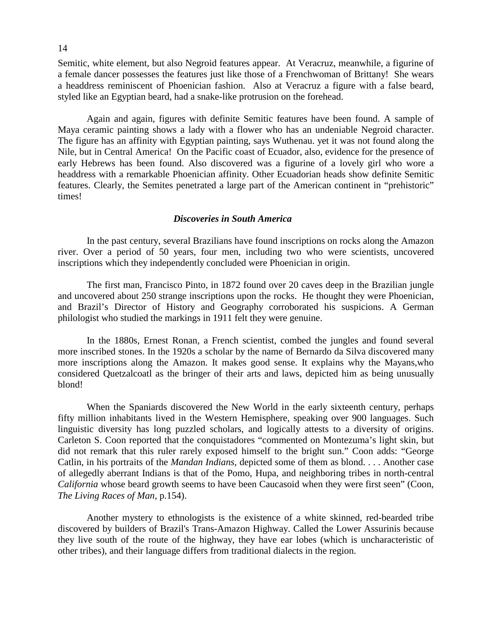Semitic, white element, but also Negroid features appear. At Veracruz, meanwhile, a figurine of a female dancer possesses the features just like those of a Frenchwoman of Brittany! She wears a headdress reminiscent of Phoenician fashion. Also at Veracruz a figure with a false beard, styled like an Egyptian beard, had a snake-like protrusion on the forehead.

 Again and again, figures with definite Semitic features have been found. A sample of Maya ceramic painting shows a lady with a flower who has an undeniable Negroid character. The figure has an affinity with Egyptian painting, says Wuthenau. yet it was not found along the Nile, but in Central America! On the Pacific coast of Ecuador, also, evidence for the presence of early Hebrews has been found. Also discovered was a figurine of a lovely girl who wore a headdress with a remarkable Phoenician affinity. Other Ecuadorian heads show definite Semitic features. Clearly, the Semites penetrated a large part of the American continent in "prehistoric" times!

#### *Discoveries in South America*

 In the past century, several Brazilians have found inscriptions on rocks along the Amazon river. Over a period of 50 years, four men, including two who were scientists, uncovered inscriptions which they independently concluded were Phoenician in origin.

 The first man, Francisco Pinto, in 1872 found over 20 caves deep in the Brazilian jungle and uncovered about 250 strange inscriptions upon the rocks. He thought they were Phoenician, and Brazil's Director of History and Geography corroborated his suspicions. A German philologist who studied the markings in 1911 felt they were genuine.

 In the 1880s, Ernest Ronan, a French scientist, combed the jungles and found several more inscribed stones. In the 1920s a scholar by the name of Bernardo da Silva discovered many more inscriptions along the Amazon. It makes good sense. It explains why the Mayans,who considered Quetzalcoatl as the bringer of their arts and laws, depicted him as being unusually blond!

 When the Spaniards discovered the New World in the early sixteenth century, perhaps fifty million inhabitants lived in the Western Hemisphere, speaking over 900 languages. Such linguistic diversity has long puzzled scholars, and logically attests to a diversity of origins. Carleton S. Coon reported that the conquistadores "commented on Montezuma's light skin, but did not remark that this ruler rarely exposed himself to the bright sun." Coon adds: "George Catlin, in his portraits of the *Mandan Indians,* depicted some of them as blond. . . . Another case of allegedly aberrant Indians is that of the Pomo, Hupa, and neighboring tribes in north-central *California* whose beard growth seems to have been Caucasoid when they were first seen" (Coon, *The Living Races of Man,* p.154).

 Another mystery to ethnologists is the existence of a white skinned, red-bearded tribe discovered by builders of Brazil's Trans-Amazon Highway. Called the Lower Assurinis because they live south of the route of the highway, they have ear lobes (which is uncharacteristic of other tribes), and their language differs from traditional dialects in the region.

14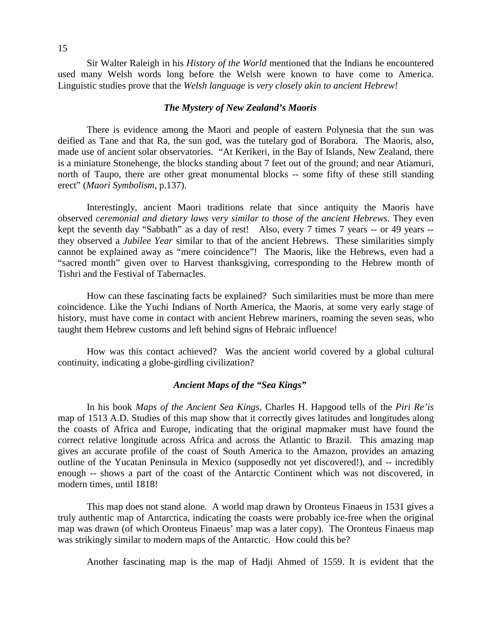Sir Walter Raleigh in his *History of the World* mentioned that the Indians he encountered used many Welsh words long before the Welsh were known to have come to America. Linguistic studies prove that the *Welsh language* is *very closely akin to ancient Hebrew!*

#### *The Mystery of New Zealand's Maoris*

 There is evidence among the Maori and people of eastern Polynesia that the sun was deified as Tane and that Ra, the sun god, was the tutelary god of Borabora. The Maoris, also, made use of ancient solar observatories. "At Kerikeri, in the Bay of Islands, New Zealand, there is a miniature Stonehenge, the blocks standing about 7 feet out of the ground; and near Atiamuri, north of Taupo, there are other great monumental blocks -- some fifty of these still standing erect" (*Maori Symbolism,* p.137).

 Interestingly, ancient Maori traditions relate that since antiquity the Maoris have observed *ceremonial and dietary laws very similar to those of the ancient Hebrews.* They even kept the seventh day "Sabbath" as a day of rest! Also, every 7 times 7 years -- or 49 years - they observed a *Jubilee Year* similar to that of the ancient Hebrews. These similarities simply cannot be explained away as "mere coincidence"! The Maoris, like the Hebrews, even had a "sacred month" given over to Harvest thanksgiving, corresponding to the Hebrew month of Tishri and the Festival of Tabernacles.

 How can these fascinating facts be explained? Such similarities must be more than mere coincidence. Like the Yuchi Indians of North America, the Maoris, at some very early stage of history, must have come in contact with ancient Hebrew mariners, roaming the seven seas, who taught them Hebrew customs and left behind signs of Hebraic influence!

 How was this contact achieved? Was the ancient world covered by a global cultural continuity, indicating a globe-girdling civilization?

#### *Ancient Maps of the "Sea Kings"*

 In his book *Maps of the Ancient Sea Kings,* Charles H. Hapgood tells of the *Piri Re'is*  map of 1513 A.D. Studies of this map show that it correctly gives latitudes and longitudes along the coasts of Africa and Europe, indicating that the original mapmaker must have found the correct relative longitude across Africa and across the Atlantic to Brazil. This amazing map gives an accurate profile of the coast of South America to the Amazon, provides an amazing outline of the Yucatan Peninsula in Mexico (supposedly not yet discovered!), and -- incredibly enough -- shows a part of the coast of the Antarctic Continent which was not discovered, in modern times, until 1818!

 This map does not stand alone. A world map drawn by Oronteus Finaeus in 1531 gives a truly authentic map of Antarctica, indicating the coasts were probably ice-free when the original map was drawn (of which Oronteus Finaeus' map was a later copy). The Oronteus Finaeus map was strikingly similar to modern maps of the Antarctic. How could this be?

Another fascinating map is the map of Hadji Ahmed of 1559. It is evident that the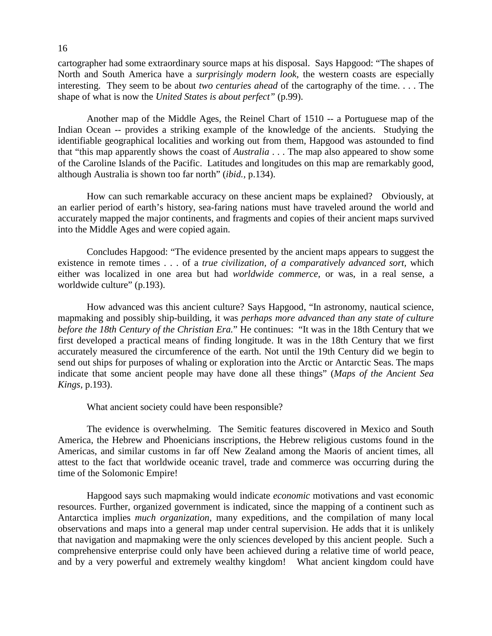cartographer had some extraordinary source maps at his disposal. Says Hapgood: "The shapes of North and South America have a *surprisingly modern look,* the western coasts are especially interesting. They seem to be about *two centuries ahead* of the cartography of the time. . . . The shape of what is now the *United States is about perfect"* (p.99).

 Another map of the Middle Ages, the Reinel Chart of 1510 -- a Portuguese map of the Indian Ocean -- provides a striking example of the knowledge of the ancients. Studying the identifiable geographical localities and working out from them, Hapgood was astounded to find that "this map apparently shows the coast of *Australia* . . . The map also appeared to show some of the Caroline Islands of the Pacific. Latitudes and longitudes on this map are remarkably good, although Australia is shown too far north" (*ibid.,* p.134).

 How can such remarkable accuracy on these ancient maps be explained? Obviously, at an earlier period of earth's history, sea-faring nations must have traveled around the world and accurately mapped the major continents, and fragments and copies of their ancient maps survived into the Middle Ages and were copied again.

 Concludes Hapgood: "The evidence presented by the ancient maps appears to suggest the existence in remote times . . . of a *true civilization, of a comparatively advanced sort,* which either was localized in one area but had *worldwide commerce,* or was, in a real sense, a worldwide culture" (p.193).

 How advanced was this ancient culture? Says Hapgood, "In astronomy, nautical science, mapmaking and possibly ship-building, it was *perhaps more advanced than any state of culture before the 18th Century of the Christian Era.*" He continues: "It was in the 18th Century that we first developed a practical means of finding longitude. It was in the 18th Century that we first accurately measured the circumference of the earth. Not until the 19th Century did we begin to send out ships for purposes of whaling or exploration into the Arctic or Antarctic Seas. The maps indicate that some ancient people may have done all these things" (*Maps of the Ancient Sea Kings,* p.193).

What ancient society could have been responsible?

 The evidence is overwhelming. The Semitic features discovered in Mexico and South America, the Hebrew and Phoenicians inscriptions, the Hebrew religious customs found in the Americas, and similar customs in far off New Zealand among the Maoris of ancient times, all attest to the fact that worldwide oceanic travel, trade and commerce was occurring during the time of the Solomonic Empire!

 Hapgood says such mapmaking would indicate *economic* motivations and vast economic resources. Further, organized government is indicated, since the mapping of a continent such as Antarctica implies *much organization,* many expeditions, and the compilation of many local observations and maps into a general map under central supervision. He adds that it is unlikely that navigation and mapmaking were the only sciences developed by this ancient people. Such a comprehensive enterprise could only have been achieved during a relative time of world peace, and by a very powerful and extremely wealthy kingdom! What ancient kingdom could have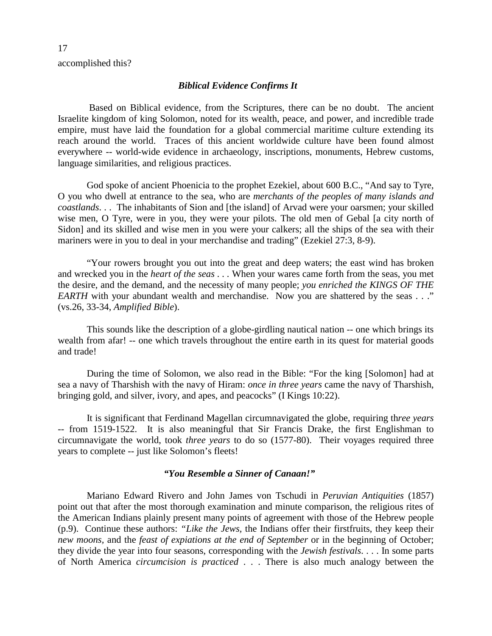accomplished this?

#### *Biblical Evidence Confirms It*

 Based on Biblical evidence, from the Scriptures, there can be no doubt. The ancient Israelite kingdom of king Solomon, noted for its wealth, peace, and power, and incredible trade empire, must have laid the foundation for a global commercial maritime culture extending its reach around the world. Traces of this ancient worldwide culture have been found almost everywhere -- world-wide evidence in archaeology, inscriptions, monuments, Hebrew customs, language similarities, and religious practices.

 God spoke of ancient Phoenicia to the prophet Ezekiel, about 600 B.C., "And say to Tyre, O you who dwell at entrance to the sea, who are *merchants of the peoples of many islands and coastlands*. . . The inhabitants of Sion and [the island] of Arvad were your oarsmen; your skilled wise men, O Tyre, were in you, they were your pilots. The old men of Gebal [a city north of Sidon] and its skilled and wise men in you were your calkers; all the ships of the sea with their mariners were in you to deal in your merchandise and trading" (Ezekiel 27:3, 8-9).

 "Your rowers brought you out into the great and deep waters; the east wind has broken and wrecked you in the *heart of the seas . . .* When your wares came forth from the seas, you met the desire, and the demand, and the necessity of many people; *you enriched the KINGS OF THE EARTH* with your abundant wealth and merchandise. Now you are shattered by the seas . . ." (vs.26, 33-34, *Amplified Bible*).

 This sounds like the description of a globe-girdling nautical nation -- one which brings its wealth from afar! -- one which travels throughout the entire earth in its quest for material goods and trade!

 During the time of Solomon, we also read in the Bible: "For the king [Solomon] had at sea a navy of Tharshish with the navy of Hiram: *once in three years* came the navy of Tharshish, bringing gold, and silver, ivory, and apes, and peacocks" (I Kings 10:22).

 It is significant that Ferdinand Magellan circumnavigated the globe, requiring th*ree years -*- from 1519-1522. It is also meaningful that Sir Francis Drake, the first Englishman to circumnavigate the world, took *three years* to do so (1577-80). Their voyages required three years to complete -- just like Solomon's fleets!

#### *"You Resemble a Sinner of Canaan!"*

 Mariano Edward Rivero and John James von Tschudi in *Peruvian Antiquities* (1857) point out that after the most thorough examination and minute comparison, the religious rites of the American Indians plainly present many points of agreement with those of the Hebrew people (p.9). Continue these authors: *"Like the Jews,* the Indians offer their firstfruits, they keep their *new moons,* and the *feast of expiations at the end of September* or in the beginning of October; they divide the year into four seasons, corresponding with the *Jewish festivals*. . . . In some parts of North America *circumcision is practiced* . . . There is also much analogy between the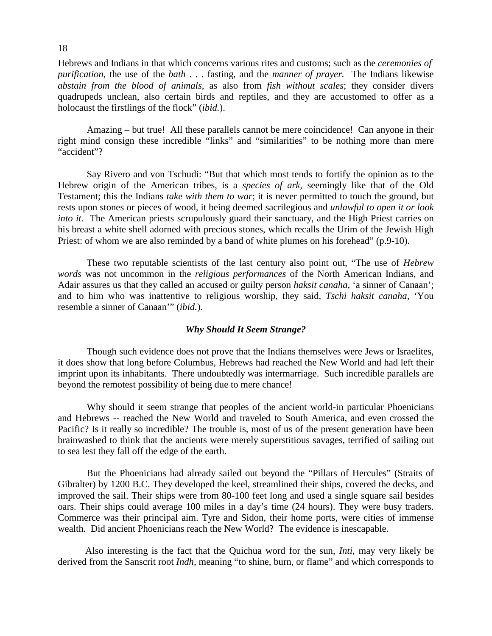Hebrews and Indians in that which concerns various rites and customs; such as the *ceremonies of purification,* the use of the *bath* . . . fasting, and the *manner of prayer.* The Indians likewise *abstain from the blood of animals,* as also from *fish without scales*; they consider divers quadrupeds unclean, also certain birds and reptiles, and they are accustomed to offer as a holocaust the firstlings of the flock" (*ibid.*).

 Amazing – but true! All these parallels cannot be mere coincidence! Can anyone in their right mind consign these incredible "links" and "similarities" to be nothing more than mere "accident"?

 Say Rivero and von Tschudi: "But that which most tends to fortify the opinion as to the Hebrew origin of the American tribes, is a *species of ark,* seemingly like that of the Old Testament; this the Indians *take with them to war*; it is never permitted to touch the ground, but rests upon stones or pieces of wood, it being deemed sacrilegious and *unlawful to open it or look into it.* The American priests scrupulously guard their sanctuary, and the High Priest carries on his breast a white shell adorned with precious stones, which recalls the Urim of the Jewish High Priest: of whom we are also reminded by a band of white plumes on his forehead" (p.9-10).

 These two reputable scientists of the last century also point out, "The use of *Hebrew words* was not uncommon in the *religious performances* of the North American Indians, and Adair assures us that they called an accused or guilty person *haksit canaha,* 'a sinner of Canaan'; and to him who was inattentive to religious worship, they said, *Tschi haksit canaha,* 'You resemble a sinner of Canaan'" (*ibid.*).

#### *Why Should It Seem Strange?*

 Though such evidence does not prove that the Indians themselves were Jews or Israelites, it does show that long before Columbus, Hebrews had reached the New World and had left their imprint upon its inhabitants. There undoubtedly was intermarriage. Such incredible parallels are beyond the remotest possibility of being due to mere chance!

 Why should it seem strange that peoples of the ancient world-in particular Phoenicians and Hebrews -- reached the New World and traveled to South America, and even crossed the Pacific? Is it really so incredible? The trouble is, most of us of the present generation have been brainwashed to think that the ancients were merely superstitious savages, terrified of sailing out to sea lest they fall off the edge of the earth.

 But the Phoenicians had already sailed out beyond the "Pillars of Hercules" (Straits of Gibralter) by 1200 B.C. They developed the keel, streamlined their ships, covered the decks, and improved the sail. Their ships were from 80-100 feet long and used a single square sail besides oars. Their ships could average 100 miles in a day's time (24 hours). They were busy traders. Commerce was their principal aim. Tyre and Sidon, their home ports, were cities of immense wealth. Did ancient Phoenicians reach the New World? The evidence is inescapable.

 Also interesting is the fact that the Quichua word for the sun, *Inti,* may very likely be derived from the Sanscrit root *Indh*, meaning "to shine, burn, or flame" and which corresponds to

#### 18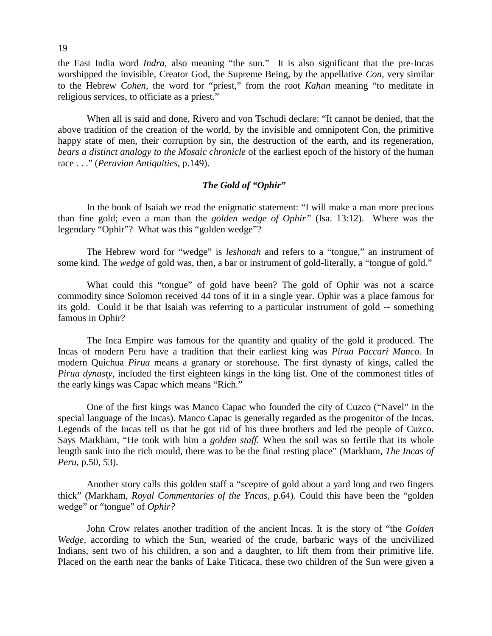the East India word *Indra,* also meaning "the sun." It is also significant that the pre-Incas worshipped the invisible, Creator God, the Supreme Being, by the appellative *Con,* very similar to the Hebrew *Cohen,* the word for "priest," from the root *Kahan* meaning "to meditate in religious services, to officiate as a priest."

 When all is said and done, Rivero and von Tschudi declare: "It cannot be denied, that the above tradition of the creation of the world, by the invisible and omnipotent Con, the primitive happy state of men, their corruption by sin, the destruction of the earth, and its regeneration, *bears a distinct analogy to the Mosaic chronicle* of the earliest epoch of the history of the human race . . ." (*Peruvian Antiquities,* p.149).

#### *The Gold of "Ophir"*

 In the book of Isaiah we read the enigmatic statement: "I will make a man more precious than fine gold; even a man than the *golden wedge of Ophir"* (Isa. 13:12). Where was the legendary "Ophir"? What was this "golden wedge"?

 The Hebrew word for "wedge" is *leshonah* and refers to a "tongue," an instrument of some kind. The *wedge* of gold was, then, a bar or instrument of gold-literally, a "tongue of gold."

 What could this "tongue" of gold have been? The gold of Ophir was not a scarce commodity since Solomon received 44 tons of it in a single year. Ophir was a place famous for its gold. Could it be that Isaiah was referring to a particular instrument of gold -- something famous in Ophir?

 The Inca Empire was famous for the quantity and quality of the gold it produced. The Incas of modern Peru have a tradition that their earliest king was *Pirua Paccari Manco.* In modern Quichua *Pirua* means a granary or storehouse. The first dynasty of kings, called the *Pirua dynasty*, included the first eighteen kings in the king list. One of the commonest titles of the early kings was Capac which means "Rich."

 One of the first kings was Manco Capac who founded the city of Cuzco ("Navel" in the special language of the Incas). Manco Capac is generally regarded as the progenitor of the Incas. Legends of the Incas tell us that he got rid of his three brothers and led the people of Cuzco. Says Markham, "He took with him a *golden staff.* When the soil was so fertile that its whole length sank into the rich mould, there was to be the final resting place" (Markham, *The Incas of Peru,* p.50, 53).

 Another story calls this golden staff a "sceptre of gold about a yard long and two fingers thick" (Markham, *Royal Commentaries of the Yncas,* p.64). Could this have been the "golden wedge" or "tongue" of *Ophir?*

 John Crow relates another tradition of the ancient Incas. It is the story of "the *Golden Wedge,* according to which the Sun, wearied of the crude, barbaric ways of the uncivilized Indians, sent two of his children, a son and a daughter, to lift them from their primitive life. Placed on the earth near the banks of Lake Titicaca, these two children of the Sun were given a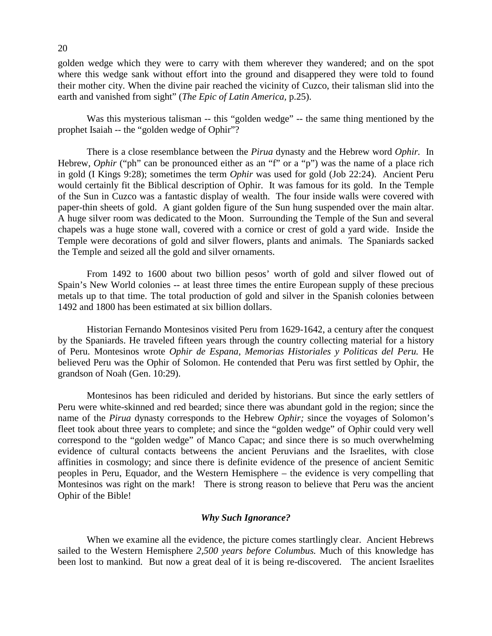golden wedge which they were to carry with them wherever they wandered; and on the spot where this wedge sank without effort into the ground and disappered they were told to found their mother city. When the divine pair reached the vicinity of Cuzco, their talisman slid into the earth and vanished from sight" (*The Epic of Latin America,* p.25).

 Was this mysterious talisman -- this "golden wedge" -- the same thing mentioned by the prophet Isaiah -- the "golden wedge of Ophir"?

 There is a close resemblance between the *Pirua* dynasty and the Hebrew word *Ophir.* In Hebrew, *Ophir* ("ph" can be pronounced either as an "f" or a "p") was the name of a place rich in gold (I Kings 9:28); sometimes the term *Ophir* was used for gold (Job 22:24). Ancient Peru would certainly fit the Biblical description of Ophir. It was famous for its gold. In the Temple of the Sun in Cuzco was a fantastic display of wealth. The four inside walls were covered with paper-thin sheets of gold. A giant golden figure of the Sun hung suspended over the main altar. A huge silver room was dedicated to the Moon. Surrounding the Temple of the Sun and several chapels was a huge stone wall, covered with a cornice or crest of gold a yard wide. Inside the Temple were decorations of gold and silver flowers, plants and animals. The Spaniards sacked the Temple and seized all the gold and silver ornaments.

 From 1492 to 1600 about two billion pesos' worth of gold and silver flowed out of Spain's New World colonies -- at least three times the entire European supply of these precious metals up to that time. The total production of gold and silver in the Spanish colonies between 1492 and 1800 has been estimated at six billion dollars.

 Historian Fernando Montesinos visited Peru from 1629-1642, a century after the conquest by the Spaniards. He traveled fifteen years through the country collecting material for a history of Peru. Montesinos wrote *Ophir de Espana, Memorias Historiales y Politicas del Peru.* He believed Peru was the Ophir of Solomon. He contended that Peru was first settled by Ophir, the grandson of Noah (Gen. 10:29).

 Montesinos has been ridiculed and derided by historians. But since the early settlers of Peru were white-skinned and red bearded; since there was abundant gold in the region; since the name of the *Pirua* dynasty corresponds to the Hebrew *Ophir;* since the voyages of Solomon's fleet took about three years to complete; and since the "golden wedge" of Ophir could very well correspond to the "golden wedge" of Manco Capac; and since there is so much overwhelming evidence of cultural contacts betweens the ancient Peruvians and the Israelites, with close affinities in cosmology; and since there is definite evidence of the presence of ancient Semitic peoples in Peru, Equador, and the Western Hemisphere – the evidence is very compelling that Montesinos was right on the mark! There is strong reason to believe that Peru was the ancient Ophir of the Bible!

#### *Why Such Ignorance?*

When we examine all the evidence, the picture comes startlingly clear. Ancient Hebrews sailed to the Western Hemisphere *2,500 years before Columbus.* Much of this knowledge has been lost to mankind. But now a great deal of it is being re-discovered. The ancient Israelites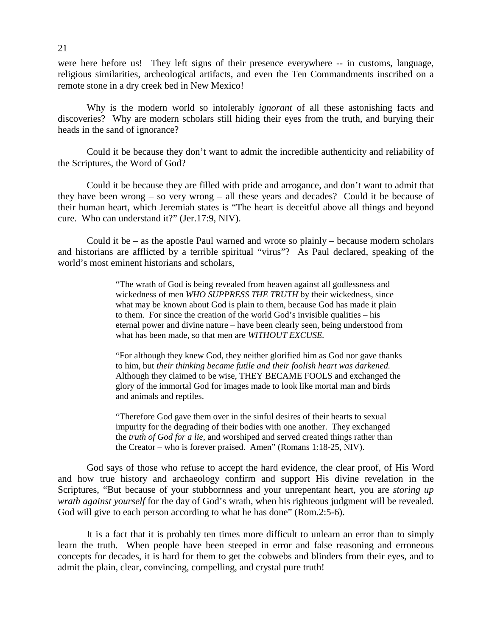were here before us! They left signs of their presence everywhere -- in customs, language, religious similarities, archeological artifacts, and even the Ten Commandments inscribed on a remote stone in a dry creek bed in New Mexico!

 Why is the modern world so intolerably *ignorant* of all these astonishing facts and discoveries? Why are modern scholars still hiding their eyes from the truth, and burying their heads in the sand of ignorance?

 Could it be because they don't want to admit the incredible authenticity and reliability of the Scriptures, the Word of God?

 Could it be because they are filled with pride and arrogance, and don't want to admit that they have been wrong – so very wrong – all these years and decades? Could it be because of their human heart, which Jeremiah states is "The heart is deceitful above all things and beyond cure. Who can understand it?" (Jer.17:9, NIV).

Could it be  $-$  as the apostle Paul warned and wrote so plainly  $-$  because modern scholars and historians are afflicted by a terrible spiritual "virus"? As Paul declared, speaking of the world's most eminent historians and scholars,

> "The wrath of God is being revealed from heaven against all godlessness and wickedness of men *WHO SUPPRESS THE TRUTH* by their wickedness, since what may be known about God is plain to them, because God has made it plain to them. For since the creation of the world God's invisible qualities – his eternal power and divine nature – have been clearly seen, being understood from what has been made, so that men are *WITHOUT EXCUSE.*

> "For although they knew God, they neither glorified him as God nor gave thanks to him, but *their thinking became futile and their foolish heart was darkened.* Although they claimed to be wise, THEY BECAME FOOLS and exchanged the glory of the immortal God for images made to look like mortal man and birds and animals and reptiles.

 "Therefore God gave them over in the sinful desires of their hearts to sexual impurity for the degrading of their bodies with one another. They exchanged the *truth of God for a lie,* and worshiped and served created things rather than the Creator – who is forever praised. Amen" (Romans 1:18-25, NIV).

God says of those who refuse to accept the hard evidence, the clear proof, of His Word and how true history and archaeology confirm and support His divine revelation in the Scriptures, "But because of your stubbornness and your unrepentant heart, you are *storing up wrath against yourself* for the day of God's wrath, when his righteous judgment will be revealed. God will give to each person according to what he has done" (Rom.2:5-6).

 It is a fact that it is probably ten times more difficult to unlearn an error than to simply learn the truth. When people have been steeped in error and false reasoning and erroneous concepts for decades, it is hard for them to get the cobwebs and blinders from their eyes, and to admit the plain, clear, convincing, compelling, and crystal pure truth!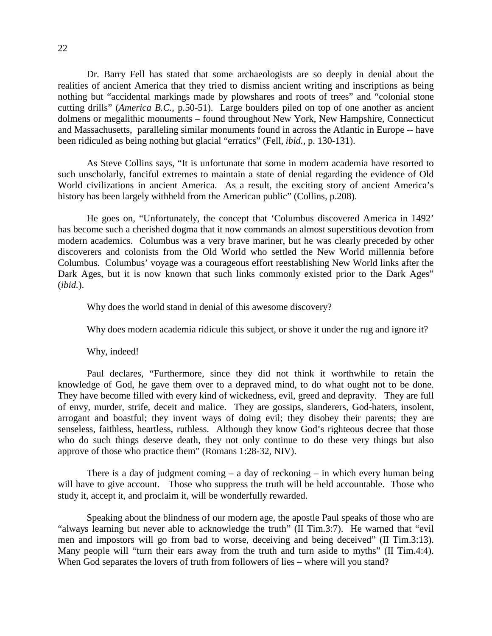Dr. Barry Fell has stated that some archaeologists are so deeply in denial about the realities of ancient America that they tried to dismiss ancient writing and inscriptions as being nothing but "accidental markings made by plowshares and roots of trees" and "colonial stone cutting drills" (*America B.C.,* p.50-51). Large boulders piled on top of one another as ancient dolmens or megalithic monuments – found throughout New York, New Hampshire, Connecticut and Massachusetts, paralleling similar monuments found in across the Atlantic in Europe -- have been ridiculed as being nothing but glacial "erratics" (Fell, *ibid.,* p. 130-131).

 As Steve Collins says, "It is unfortunate that some in modern academia have resorted to such unscholarly, fanciful extremes to maintain a state of denial regarding the evidence of Old World civilizations in ancient America. As a result, the exciting story of ancient America's history has been largely withheld from the American public" (Collins, p.208).

 He goes on, "Unfortunately, the concept that 'Columbus discovered America in 1492' has become such a cherished dogma that it now commands an almost superstitious devotion from modern academics. Columbus was a very brave mariner, but he was clearly preceded by other discoverers and colonists from the Old World who settled the New World millennia before Columbus. Columbus' voyage was a courageous effort reestablishing New World links after the Dark Ages, but it is now known that such links commonly existed prior to the Dark Ages" (*ibid.*).

Why does the world stand in denial of this awesome discovery?

Why does modern academia ridicule this subject, or shove it under the rug and ignore it?

Why, indeed!

 Paul declares, "Furthermore, since they did not think it worthwhile to retain the knowledge of God, he gave them over to a depraved mind, to do what ought not to be done. They have become filled with every kind of wickedness, evil, greed and depravity. They are full of envy, murder, strife, deceit and malice. They are gossips, slanderers, God-haters, insolent, arrogant and boastful; they invent ways of doing evil; they disobey their parents; they are senseless, faithless, heartless, ruthless. Although they know God's righteous decree that those who do such things deserve death, they not only continue to do these very things but also approve of those who practice them" (Romans 1:28-32, NIV).

There is a day of judgment coming  $-$  a day of reckoning  $-$  in which every human being will have to give account. Those who suppress the truth will be held accountable. Those who study it, accept it, and proclaim it, will be wonderfully rewarded.

 Speaking about the blindness of our modern age, the apostle Paul speaks of those who are "always learning but never able to acknowledge the truth" (II Tim.3:7). He warned that "evil men and impostors will go from bad to worse, deceiving and being deceived" (II Tim.3:13). Many people will "turn their ears away from the truth and turn aside to myths" (II Tim.4:4). When God separates the lovers of truth from followers of lies – where will you stand?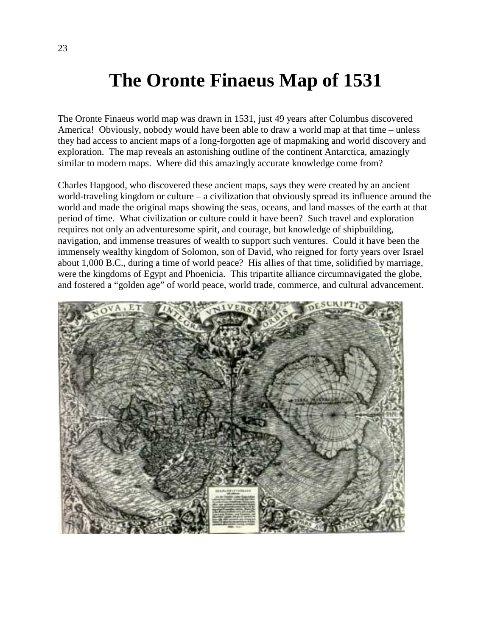### **The Oronte Finaeus Map of 1531**

The Oronte Finaeus world map was drawn in 1531, just 49 years after Columbus discovered America! Obviously, nobody would have been able to draw a world map at that time – unless they had access to ancient maps of a long-forgotten age of mapmaking and world discovery and exploration. The map reveals an astonishing outline of the continent Antarctica, amazingly similar to modern maps. Where did this amazingly accurate knowledge come from?

Charles Hapgood, who discovered these ancient maps, says they were created by an ancient world-traveling kingdom or culture – a civilization that obviously spread its influence around the world and made the original maps showing the seas, oceans, and land masses of the earth at that period of time. What civilization or culture could it have been? Such travel and exploration requires not only an adventuresome spirit, and courage, but knowledge of shipbuilding, navigation, and immense treasures of wealth to support such ventures. Could it have been the immensely wealthy kingdom of Solomon, son of David, who reigned for forty years over Israel about 1,000 B.C., during a time of world peace? His allies of that time, solidified by marriage, were the kingdoms of Egypt and Phoenicia. This tripartite alliance circumnavigated the globe, and fostered a "golden age" of world peace, world trade, commerce, and cultural advancement.

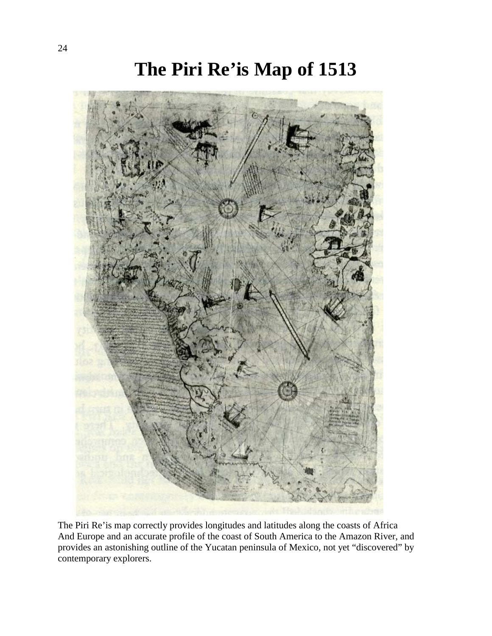### **The Piri Re'is Map of 1513**



The Piri Re'is map correctly provides longitudes and latitudes along the coasts of Africa And Europe and an accurate profile of the coast of South America to the Amazon River, and provides an astonishing outline of the Yucatan peninsula of Mexico, not yet "discovered" by contemporary explorers.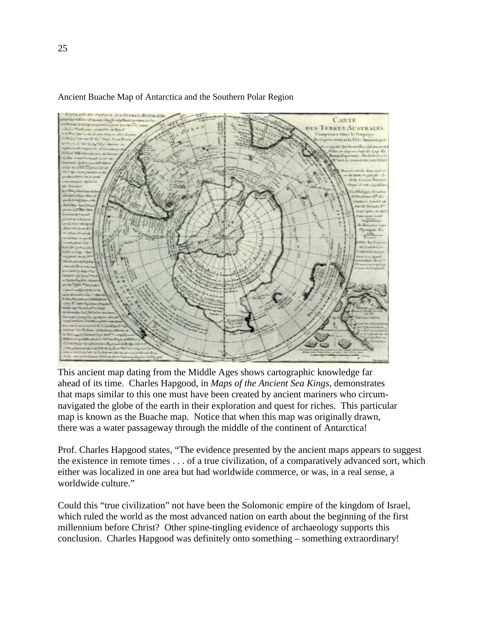

#### Ancient Buache Map of Antarctica and the Southern Polar Region

This ancient map dating from the Middle Ages shows cartographic knowledge far ahead of its time. Charles Hapgood, in *Maps of the Ancient Sea Kings,* demonstrates that maps similar to this one must have been created by ancient mariners who circumnavigated the globe of the earth in their exploration and quest for riches. This particular map is known as the Buache map. Notice that when this map was originally drawn, there was a water passageway through the middle of the continent of Antarctica!

Prof. Charles Hapgood states, "The evidence presented by the ancient maps appears to suggest the existence in remote times . . . of a true civilization, of a comparatively advanced sort, which either was localized in one area but had worldwide commerce, or was, in a real sense, a worldwide culture."

Could this "true civilization" not have been the Solomonic empire of the kingdom of Israel, which ruled the world as the most advanced nation on earth about the beginning of the first millennium before Christ? Other spine-tingling evidence of archaeology supports this conclusion. Charles Hapgood was definitely onto something – something extraordinary!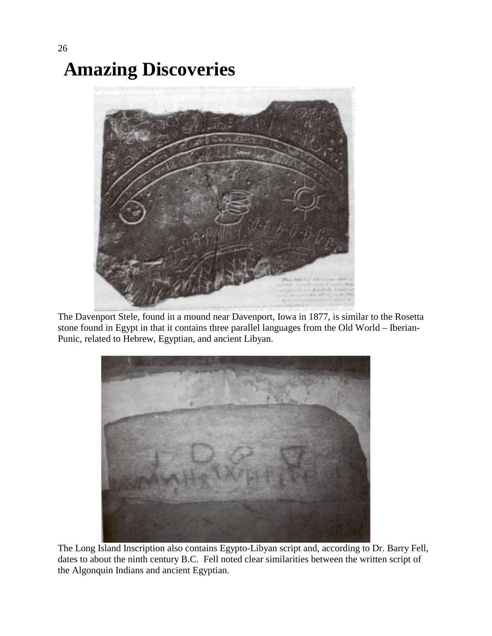# **Amazing Discoveries**



The Davenport Stele, found in a mound near Davenport, Iowa in 1877, is similar to the Rosetta stone found in Egypt in that it contains three parallel languages from the Old World – Iberian-Punic, related to Hebrew, Egyptian, and ancient Libyan.



The Long Island Inscription also contains Egypto-Libyan script and, according to Dr. Barry Fell, dates to about the ninth century B.C. Fell noted clear similarities between the written script of the Algonquin Indians and ancient Egyptian.